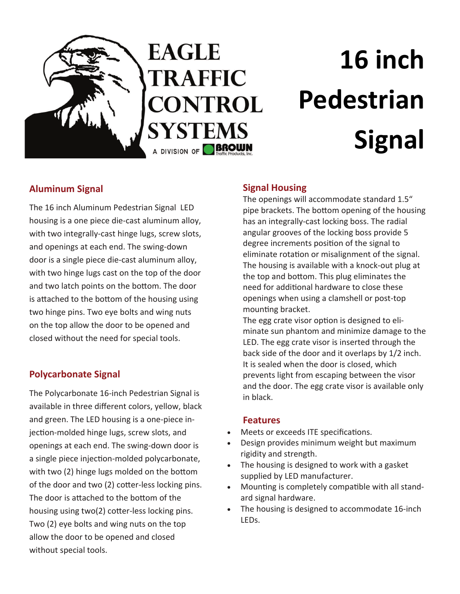

# **EAGLE TRAFFIC CONTROL SYSTEMS** A DIVISION OF **BROWN**

# **16 inch Pedestrian Signal**

## **Aluminum Signal**

The 16 inch Aluminum Pedestrian Signal LED housing is a one piece die‐cast aluminum alloy, with two integrally‐cast hinge lugs, screw slots, and openings at each end. The swing‐down door is a single piece die‐cast aluminum alloy, with two hinge lugs cast on the top of the door and two latch points on the bottom. The door is attached to the bottom of the housing using two hinge pins. Two eye bolts and wing nuts on the top allow the door to be opened and closed without the need for special tools.

### **Polycarbonate Signal**

The Polycarbonate 16‐inch Pedestrian Signal is available in three different colors, yellow, black and green. The LED housing is a one‐piece in‐ jection-molded hinge lugs, screw slots, and openings at each end. The swing‐down door is a single piece injection-molded polycarbonate, with two (2) hinge lugs molded on the bottom of the door and two (2) cotter-less locking pins. The door is attached to the bottom of the housing using two(2) cotter-less locking pins. Two (2) eye bolts and wing nuts on the top allow the door to be opened and closed without special tools.

#### **Signal Housing**

The openings will accommodate standard 1.5" pipe brackets. The bottom opening of the housing has an integrally‐cast locking boss. The radial angular grooves of the locking boss provide 5 degree increments position of the signal to eliminate rotation or misalignment of the signal. The housing is available with a knock‐out plug at the top and bottom. This plug eliminates the need for additional hardware to close these openings when using a clamshell or post‐top mounting bracket.

The egg crate visor option is designed to eliminate sun phantom and minimize damage to the LED. The egg crate visor is inserted through the back side of the door and it overlaps by 1/2 inch. It is sealed when the door is closed, which prevents light from escaping between the visor and the door. The egg crate visor is available only in black.

#### **Features**

- Meets or exceeds ITE specifications.
- Design provides minimum weight but maximum rigidity and strength.
- The housing is designed to work with a gasket supplied by LED manufacturer.
- Mounting is completely compatible with all standard signal hardware.
- The housing is designed to accommodate 16‐inch LEDs.